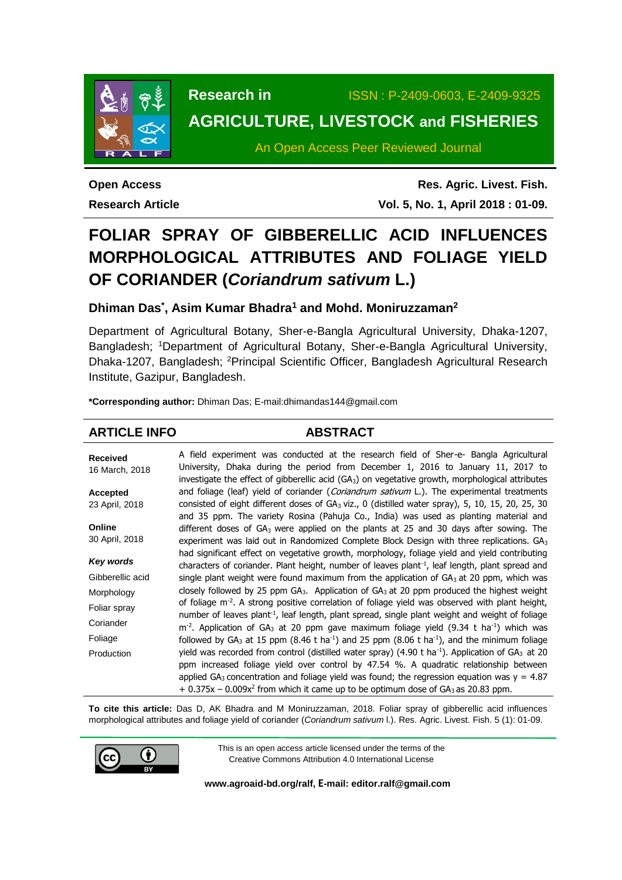

**Research in** ISSN : P-2409-0603, E-2409-9325

# **AGRICULTURE, LIVESTOCK and FISHERIES**

An Open Access Peer Reviewed Journal

**Open Access Research Article**

**Res. Agric. Livest. Fish. Vol. 5, No. 1, April 2018 : 01-09.**

# **FOLIAR SPRAY OF GIBBERELLIC ACID INFLUENCES MORPHOLOGICAL ATTRIBUTES AND FOLIAGE YIELD OF CORIANDER (***Coriandrum sativum* **L.)**

**Dhiman Das\* , Asim Kumar Bhadra<sup>1</sup> and Mohd. Moniruzzaman<sup>2</sup>**

Department of Agricultural Botany, Sher-e-Bangla Agricultural University, Dhaka-1207, Bangladesh; <sup>1</sup>Department of Agricultural Botany, Sher-e-Bangla Agricultural University, Dhaka-1207, Bangladesh; <sup>2</sup>Principal Scientific Officer, Bangladesh Agricultural Research Institute, Gazipur, Bangladesh.

**\*Corresponding author:** Dhiman Das; E-mail:dhimandas144@gmail.com

## **ARTICLE INFO ABSTRACT**

| <b>Received</b><br>16 March, 2018 | A field experiment was conducted at the research field of Sher-e- Bangla Agricultural<br>University, Dhaka during the period from December 1, 2016 to January 11, 2017 to<br>investigate the effect of gibberellic acid $(GA_3)$ on vegetative growth, morphological attributes |  |  |  |  |  |
|-----------------------------------|---------------------------------------------------------------------------------------------------------------------------------------------------------------------------------------------------------------------------------------------------------------------------------|--|--|--|--|--|
| <b>Accepted</b>                   | and foliage (leaf) yield of coriander (Coriandrum sativum L.). The experimental treatments                                                                                                                                                                                      |  |  |  |  |  |
| 23 April, 2018                    | consisted of eight different doses of $GA_3$ viz., 0 (distilled water spray), 5, 10, 15, 20, 25, 30                                                                                                                                                                             |  |  |  |  |  |
|                                   | and 35 ppm. The variety Rosina (Pahuja Co., India) was used as planting material and                                                                                                                                                                                            |  |  |  |  |  |
| Online                            | different doses of $GA_3$ were applied on the plants at 25 and 30 days after sowing. The                                                                                                                                                                                        |  |  |  |  |  |
| 30 April, 2018                    | experiment was laid out in Randomized Complete Block Design with three replications. $GA3$                                                                                                                                                                                      |  |  |  |  |  |
| Key words                         | had significant effect on vegetative growth, morphology, foliage yield and yield contributing<br>characters of coriander. Plant height, number of leaves plant <sup>-1</sup> , leaf length, plant spread and                                                                    |  |  |  |  |  |
| Gibberellic acid                  | single plant weight were found maximum from the application of $GA_3$ at 20 ppm, which was                                                                                                                                                                                      |  |  |  |  |  |
| Morphology                        | closely followed by 25 ppm $GA_3$ . Application of $GA_3$ at 20 ppm produced the highest weight                                                                                                                                                                                 |  |  |  |  |  |
| Foliar spray                      | of foliage $m2$ . A strong positive correlation of foliage yield was observed with plant height,                                                                                                                                                                                |  |  |  |  |  |
|                                   | number of leaves plant <sup>1</sup> , leaf length, plant spread, single plant weight and weight of foliage                                                                                                                                                                      |  |  |  |  |  |
| Coriander                         | $m2$ . Application of GA <sub>3</sub> at 20 ppm gave maximum foliage yield (9.34 t ha <sup>-1</sup> ) which was                                                                                                                                                                 |  |  |  |  |  |
| Foliage                           | followed by GA <sub>3</sub> at 15 ppm (8.46 t ha <sup>-1</sup> ) and 25 ppm (8.06 t ha <sup>-1</sup> ), and the minimum foliage                                                                                                                                                 |  |  |  |  |  |
| Production                        | yield was recorded from control (distilled water spray) $(4.90 \text{ t} \text{ ha}^{-1})$ . Application of GA <sub>3</sub> at 20                                                                                                                                               |  |  |  |  |  |
|                                   | ppm increased foliage yield over control by 47.54 %. A quadratic relationship between                                                                                                                                                                                           |  |  |  |  |  |
|                                   | applied GA <sub>3</sub> concentration and foliage yield was found; the regression equation was $y = 4.87$                                                                                                                                                                       |  |  |  |  |  |
|                                   | $+$ 0.375x – 0.009x <sup>2</sup> from which it came up to be optimum dose of GA <sub>3</sub> as 20.83 ppm.                                                                                                                                                                      |  |  |  |  |  |

**To cite this article:** Das D, AK Bhadra and M Moniruzzaman, 2018. Foliar spray of gibberellic acid influences morphological attributes and foliage yield of coriander (*Coriandrum sativum* l.). Res. Agric. Livest. Fish. 5 (1): 01-09.



This is an open access article licensed under the terms of the Creative Commons Attribution 4.0 International License

**[www.agroaid-bd.org/ralf,](http://www.agroaid-bd.org/ralf) E-mail: [editor.ralf@gmail.com](mailto:editor.ralf@gmail.com)**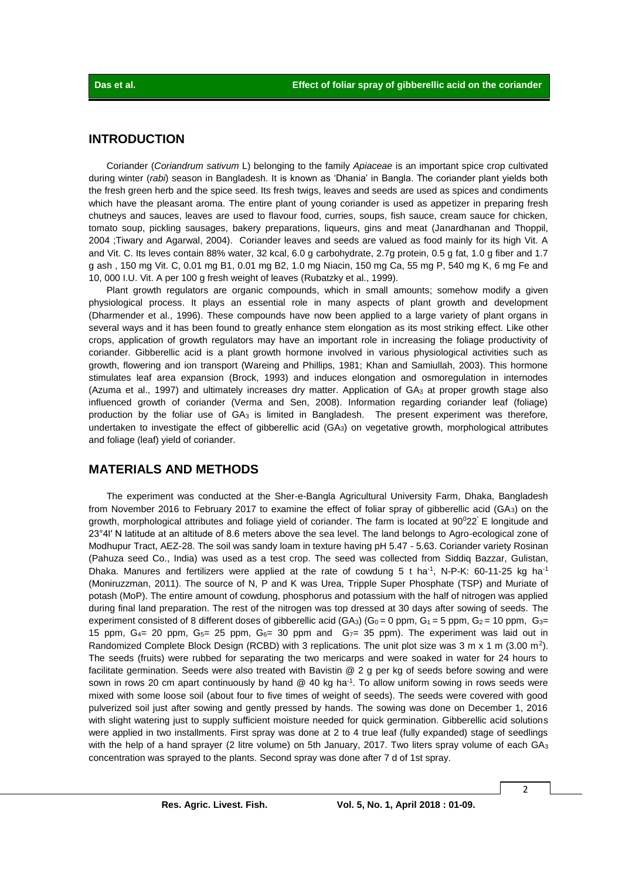### **INTRODUCTION**

Coriander (*Coriandrum sativum* L) belonging to the family *Apiaceae* is an important spice crop cultivated during winter (*rabi*) season in Bangladesh. It is known as 'Dhania' in Bangla. The coriander plant yields both the fresh green herb and the spice seed. Its fresh twigs, leaves and seeds are used as spices and condiments which have the pleasant aroma. The entire plant of young coriander is used as appetizer in preparing fresh chutneys and sauces, leaves are used to flavour food, curries, soups, fish sauce, cream sauce for chicken, tomato soup, pickling sausages, bakery preparations, liqueurs, gins and meat (Janardhanan and Thoppil, 2004 ;Tiwary and Agarwal, 2004). Coriander leaves and seeds are valued as food mainly for its high Vit. A and Vit. C. Its leves contain 88% water, 32 kcal, 6.0 g carbohydrate, 2.7g protein, 0.5 g fat, 1.0 g fiber and 1.7 g ash , 150 mg Vit. C, 0.01 mg B1, 0.01 mg B2, 1.0 mg Niacin, 150 mg Ca, 55 mg P, 540 mg K, 6 mg Fe and 10, 000 I.U. Vit. A per 100 g fresh weight of leaves (Rubatzky et al., 1999).

Plant growth regulators are organic compounds, which in small amounts; somehow modify a given physiological process. It plays an essential role in many aspects of plant growth and development (Dharmender et al., 1996). These compounds have now been applied to a large variety of plant organs in several ways and it has been found to greatly enhance stem elongation as its most striking effect. Like other crops, application of growth regulators may have an important role in increasing the foliage productivity of coriander. Gibberellic acid is a plant growth hormone involved in various physiological activities such as growth, flowering and ion transport (Wareing and Phillips, 1981; Khan and Samiullah, 2003). This hormone stimulates leaf area expansion (Brock, 1993) and induces elongation and osmoregulation in internodes (Azuma et al., 1997) and ultimately increases dry matter. Application of GA<sub>3</sub> at proper growth stage also influenced growth of coriander (Verma and Sen, 2008). Information regarding coriander leaf (foliage) production by the foliar use of GA<sub>3</sub> is limited in Bangladesh. The present experiment was therefore, undertaken to investigate the effect of gibberellic acid (GA3) on vegetative growth, morphological attributes and foliage (leaf) yield of coriander.

### **MATERIALS AND METHODS**

The experiment was conducted at the Sher-e-Bangla Agricultural University Farm, Dhaka, Bangladesh from November 2016 to February 2017 to examine the effect of foliar spray of gibberellic acid (GA $_3$ ) on the growth, morphological attributes and foliage yield of coriander. The farm is located at  $90^022'$  E longitude and 23°4l′ N latitude at an altitude of 8.6 meters above the sea level. The land belongs to Agro-ecological zone of Modhupur Tract, AEZ-28. The soil was sandy loam in texture having pH 5.47 - 5.63. Coriander variety Rosinan (Pahuza seed Co., India) was used as a test crop. The seed was collected from Siddiq Bazzar, Gulistan, Dhaka. Manures and fertilizers were applied at the rate of cowdung 5 t ha<sup>-1</sup>, N-P-K: 60-11-25 kg ha<sup>-1</sup> (Moniruzzman, 2011). The source of N, P and K was Urea, Tripple Super Phosphate (TSP) and Muriate of potash (MoP). The entire amount of cowdung, phosphorus and potassium with the half of nitrogen was applied during final land preparation. The rest of the nitrogen was top dressed at 30 days after sowing of seeds. The experiment consisted of 8 different doses of gibberellic acid (GA<sub>3</sub>) (G<sub>0</sub> = 0 ppm, G<sub>1</sub> = 5 ppm, G<sub>2</sub> = 10 ppm, G<sub>3</sub> = 15 ppm,  $G_{4}$  = 20 ppm,  $G_{5}$  = 25 ppm,  $G_{6}$  = 30 ppm and  $G_{7}$  = 35 ppm). The experiment was laid out in Randomized Complete Block Design (RCBD) with 3 replications. The unit plot size was 3 m x 1 m (3.00 m<sup>2</sup>). The seeds (fruits) were rubbed for separating the two mericarps and were soaked in water for 24 hours to facilitate germination. Seeds were also treated with Bavistin @ 2 g per kg of seeds before sowing and were sown in rows 20 cm apart continuously by hand @ 40 kg ha<sup>-1</sup>. To allow uniform sowing in rows seeds were mixed with some loose soil (about four to five times of weight of seeds). The seeds were covered with good pulverized soil just after sowing and gently pressed by hands. The sowing was done on December 1, 2016 with slight watering just to supply sufficient moisture needed for quick germination. Gibberellic acid solutions were applied in two installments. First spray was done at 2 to 4 true leaf (fully expanded) stage of seedlings with the help of a hand sprayer (2 litre volume) on 5th January, 2017. Two liters spray volume of each  $GA_3$ concentration was sprayed to the plants. Second spray was done after 7 d of 1st spray.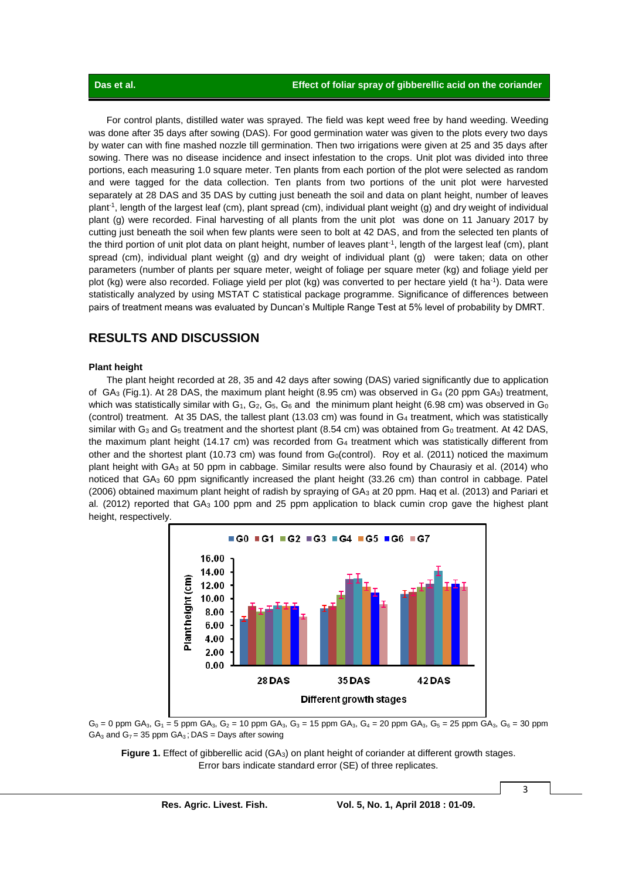For control plants, distilled water was sprayed. The field was kept weed free by hand weeding. Weeding was done after 35 days after sowing (DAS). For good germination water was given to the plots every two days by water can with fine mashed nozzle till germination. Then two irrigations were given at 25 and 35 days after sowing. There was no disease incidence and insect infestation to the crops. Unit plot was divided into three portions, each measuring 1.0 square meter. Ten plants from each portion of the plot were selected as random and were tagged for the data collection. Ten plants from two portions of the unit plot were harvested separately at 28 DAS and 35 DAS by cutting just beneath the soil and data on plant height, number of leaves plant-1 , length of the largest leaf (cm), plant spread (cm), individual plant weight (g) and dry weight of individual plant (g) were recorded. Final harvesting of all plants from the unit plot was done on 11 January 2017 by cutting just beneath the soil when few plants were seen to bolt at 42 DAS, and from the selected ten plants of the third portion of unit plot data on plant height, number of leaves plant<sup>-1</sup>, length of the largest leaf (cm), plant spread (cm), individual plant weight (g) and dry weight of individual plant (g) were taken; data on other parameters (number of plants per square meter, weight of foliage per square meter (kg) and foliage yield per plot (kg) were also recorded. Foliage yield per plot (kg) was converted to per hectare yield (t ha<sup>-1</sup>). Data were statistically analyzed by using MSTAT C statistical package programme. Significance of differences between pairs of treatment means was evaluated by Duncan's Multiple Range Test at 5% level of probability by DMRT.

### **RESULTS AND DISCUSSION**

#### **Plant height**

The plant height recorded at 28, 35 and 42 days after sowing (DAS) varied significantly due to application of  $GA_3$  (Fig.1). At 28 DAS, the maximum plant height (8.95 cm) was observed in  $Ga_4$  (20 ppm  $GA_3$ ) treatment, which was statistically similar with  $G_1$ ,  $G_2$ ,  $G_5$ ,  $G_6$  and the minimum plant height (6.98 cm) was observed in  $G_0$ (control) treatment. At 35 DAS, the tallest plant (13.03 cm) was found in G<sup>4</sup> treatment, which was statistically similar with G<sub>3</sub> and G<sub>5</sub> treatment and the shortest plant (8.54 cm) was obtained from G<sub>0</sub> treatment. At 42 DAS, the maximum plant height (14.17 cm) was recorded from  $G_4$  treatment which was statistically different from other and the shortest plant (10.73 cm) was found from  $G<sub>0</sub>(control)$ . Roy et al. (2011) noticed the maximum plant height with GA<sup>3</sup> at 50 ppm in cabbage. Similar results were also found by Chaurasiy et al. (2014) who noticed that GA<sup>3</sup> 60 ppm significantly increased the plant height (33.26 cm) than control in cabbage. Patel (2006) obtained maximum plant height of radish by spraying of GA<sub>3</sub> at 20 ppm. Haq et al. (2013) and Pariari et al*.* (2012) reported that GA3 100 ppm and 25 ppm application to black cumin crop gave the highest plant height, respectively.





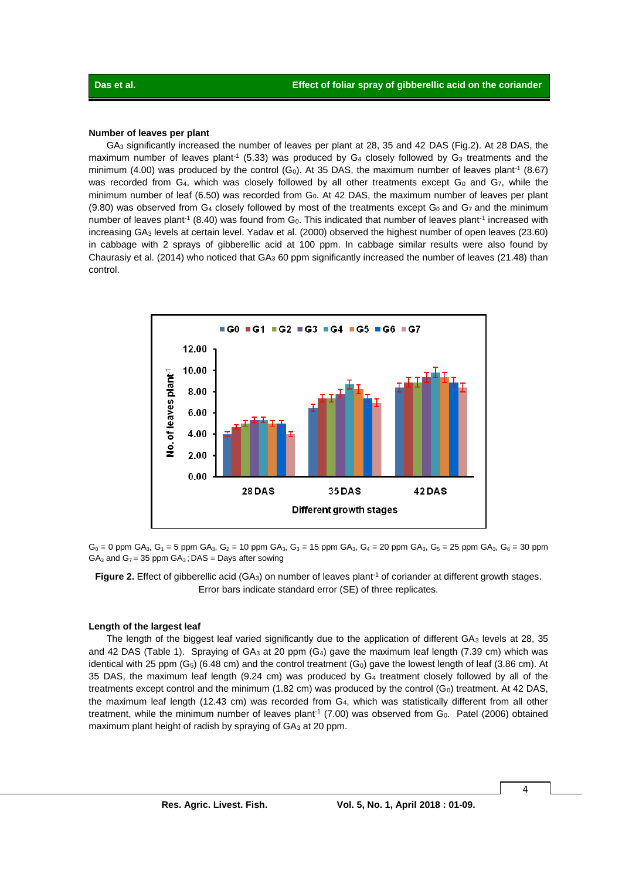#### **Number of leaves per plant**

GA<sup>3</sup> significantly increased the number of leaves per plant at 28, 35 and 42 DAS (Fig.2). At 28 DAS, the maximum number of leaves plant<sup>-1</sup> (5.33) was produced by  $G_4$  closely followed by  $G_3$  treatments and the minimum (4.00) was produced by the control (G<sub>0</sub>). At 35 DAS, the maximum number of leaves plant<sup>-1</sup> (8.67) was recorded from  $G_4$ , which was closely followed by all other treatments except  $G_0$  and  $G_7$ , while the minimum number of leaf (6.50) was recorded from G<sub>0</sub>. At 42 DAS, the maximum number of leaves per plant  $(9.80)$  was observed from G<sub>4</sub> closely followed by most of the treatments except G<sub>0</sub> and G<sub>7</sub> and the minimum number of leaves plant<sup>-1</sup> (8.40) was found from  $G_0$ . This indicated that number of leaves plant<sup>-1</sup> increased with increasing GA<sup>3</sup> levels at certain level. Yadav et al. (2000) observed the highest number of open leaves (23.60) in cabbage with 2 sprays of gibberellic acid at 100 ppm. In cabbage similar results were also found by Chaurasiy et al. (2014) who noticed that GA<sup>3</sup> 60 ppm significantly increased the number of leaves (21.48) than control.



 $G_0 = 0$  ppm GA<sub>3</sub>, G<sub>1</sub> = 5 ppm GA<sub>3</sub>, G<sub>2</sub> = 10 ppm GA<sub>3</sub>, G<sub>3</sub> = 15 ppm GA<sub>3</sub>, G<sub>4</sub> = 20 ppm GA<sub>3</sub>, G<sub>5</sub> = 25 ppm GA<sub>3</sub>, G<sub>6</sub> = 30 ppm  $GA<sub>3</sub>$  and  $G<sub>7</sub> = 35$  ppm  $GA<sub>3</sub>$ ; DAS = Days after sowing

Figure 2. Effect of gibberellic acid (GA<sub>3</sub>) on number of leaves plant<sup>-1</sup> of coriander at different growth stages. Error bars indicate standard error (SE) of three replicates.

#### **Length of the largest leaf**

The length of the biggest leaf varied significantly due to the application of different GA<sub>3</sub> levels at 28, 35 and 42 DAS (Table 1). Spraying of  $GA_3$  at 20 ppm  $(G_4)$  gave the maximum leaf length (7.39 cm) which was identical with 25 ppm  $(G_5)$  (6.48 cm) and the control treatment  $(G_0)$  gave the lowest length of leaf (3.86 cm). At 35 DAS, the maximum leaf length (9.24 cm) was produced by G<sup>4</sup> treatment closely followed by all of the treatments except control and the minimum  $(1.82 \text{ cm})$  was produced by the control  $(G_0)$  treatment. At 42 DAS, the maximum leaf length (12.43 cm) was recorded from G4, which was statistically different from all other treatment, while the minimum number of leaves plant<sup>-1</sup> (7.00) was observed from G<sub>0</sub>. Patel (2006) obtained maximum plant height of radish by spraying of GA3 at 20 ppm.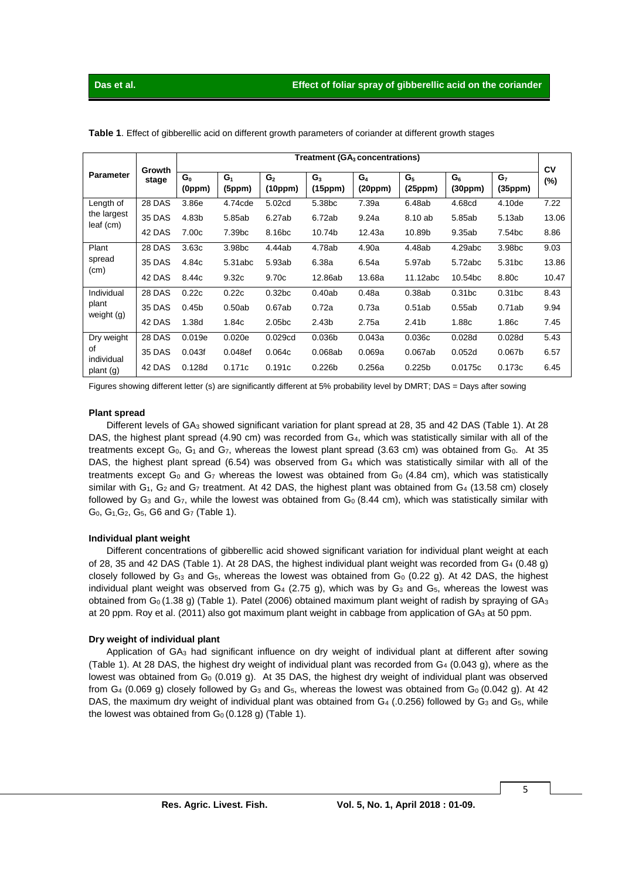|                              | Growth<br>stage | Treatment (GA <sub>3</sub> concentrations) |                          |                           |                           |                  |                           |                    |                           |              |
|------------------------------|-----------------|--------------------------------------------|--------------------------|---------------------------|---------------------------|------------------|---------------------------|--------------------|---------------------------|--------------|
| <b>Parameter</b>             |                 | $G_0$<br>(0ppm)                            | G <sub>1</sub><br>(5ppm) | G <sub>2</sub><br>(10ppm) | G <sub>3</sub><br>(15ppm) | $G_4$<br>(20ppm) | G <sub>5</sub><br>(25ppm) | $G_6$<br>(30ppm)   | G <sub>7</sub><br>(35ppm) | CV<br>$(\%)$ |
| Length of                    | 28 DAS          | 3.86e                                      | 4.74cde                  | 5.02cd                    | 5.38 <sub>bc</sub>        | 7.39a            | 6.48ab                    | 4.68cd             | 4.10de                    | 7.22         |
| the largest<br>leaf (cm)     | 35 DAS          | 4.83b                                      | 5.85ab                   | 6.27ab                    | 6.72ab                    | 9.24a            | 8.10 ab                   | 5.85ab             | 5.13ab                    | 13.06        |
|                              | 42 DAS          | 7.00c                                      | 7.39 <sub>bc</sub>       | 8.16 <sub>bc</sub>        | 10.74b                    | 12.43a           | 10.89b                    | 9.35ab             | 7.54 <sub>bc</sub>        | 8.86         |
| Plant<br>spread<br>(cm)      | 28 DAS          | 3.63c                                      | 3.98 <sub>bc</sub>       | 4.44ab                    | 4.78ab                    | 4.90a            | 4.48ab                    | 4.29abc            | 3.98 <sub>bc</sub>        | 9.03         |
|                              | <b>35 DAS</b>   | 4.84c                                      | 5.31abc                  | 5.93ab                    | 6.38a                     | 6.54a            | 5.97ab                    | 5.72abc            | 5.31 <sub>bc</sub>        | 13.86        |
|                              | 42 DAS          | 8.44c                                      | 9.32c                    | 9.70c                     | 12.86ab                   | 13.68a           | 11.12abc                  | 10.54bc            | 8.80c                     | 10.47        |
| Individual                   | 28 DAS          | 0.22c                                      | 0.22c                    | 0.32 <sub>bc</sub>        | 0.40ab                    | 0.48a            | 0.38ab                    | 0.31 <sub>bc</sub> | 0.31bc                    | 8.43         |
| plant<br>weight (g)          | 35 DAS          | 0.45 <sub>b</sub>                          | 0.50ab                   | 0.67ab                    | 0.72a                     | 0.73a            | 0.51ab                    | 0.55ab             | 0.71ab                    | 9.94         |
|                              | 42 DAS          | 1.38d                                      | 1.84c                    | 2.05 <sub>bc</sub>        | 2.43 <sub>b</sub>         | 2.75a            | 2.41b                     | 1.88c              | 1.86c                     | 7.45         |
| Dry weight                   | 28 DAS          | 0.019e                                     | 0.020e                   | 0.029cd                   | 0.036 <sub>b</sub>        | 0.043a           | 0.036c                    | 0.028d             | 0.028d                    | 5.43         |
| of<br>individual<br>plan (g) | 35 DAS          | 0.043f                                     | 0.048 <sub>ef</sub>      | 0.064c                    | 0.068ab                   | 0.069a           | 0.067ab                   | 0.052d             | 0.067 <sub>b</sub>        | 6.57         |
|                              | 42 DAS          | 0.128d                                     | 0.171c                   | 0.191c                    | 0.226 <sub>b</sub>        | 0.256a           | 0.225 <sub>b</sub>        | 0.0175c            | 0.173c                    | 6.45         |

**Table 1**. Effect of gibberellic acid on different growth parameters of coriander at different growth stages

Figures showing different letter (s) are significantly different at 5% probability level by DMRT; DAS = Days after sowing

#### **Plant spread**

Different levels of GA<sup>3</sup> showed significant variation for plant spread at 28, 35 and 42 DAS (Table 1). At 28 DAS, the highest plant spread (4.90 cm) was recorded from G<sub>4</sub>, which was statistically similar with all of the treatments except G<sub>0</sub>, G<sub>1</sub> and G<sub>7</sub>, whereas the lowest plant spread (3.63 cm) was obtained from G<sub>0</sub>. At 35 DAS, the highest plant spread (6.54) was observed from G<sub>4</sub> which was statistically similar with all of the treatments except G<sub>0</sub> and G<sub>7</sub> whereas the lowest was obtained from G<sub>0</sub> (4.84 cm), which was statistically similar with  $G_1$ ,  $G_2$  and  $G_7$  treatment. At 42 DAS, the highest plant was obtained from  $G_4$  (13.58 cm) closely followed by  $G_3$  and  $G_7$ , while the lowest was obtained from  $G_0$  (8.44 cm), which was statistically similar with G0, G1,G2, G5, G6 and G<sup>7</sup> (Table 1).

#### **Individual plant weight**

Different concentrations of gibberellic acid showed significant variation for individual plant weight at each of 28, 35 and 42 DAS (Table 1). At 28 DAS, the highest individual plant weight was recorded from G<sup>4</sup> (0.48 g) closely followed by G<sub>3</sub> and G<sub>5</sub>, whereas the lowest was obtained from G<sub>0</sub> (0.22 g). At 42 DAS, the highest individual plant weight was observed from  $G_4$  (2.75 g), which was by  $G_3$  and  $G_5$ , whereas the lowest was obtained from  $G_0$  (1.38 g) (Table 1). Patel (2006) obtained maximum plant weight of radish by spraying of  $GA_3$ at 20 ppm. Roy et al. (2011) also got maximum plant weight in cabbage from application of GA<sub>3</sub> at 50 ppm.

#### **Dry weight of individual plant**

Application of GA<sub>3</sub> had significant influence on dry weight of individual plant at different after sowing (Table 1). At 28 DAS, the highest dry weight of individual plant was recorded from  $G_4$  (0.043 g), where as the lowest was obtained from  $G_0$  (0.019 g). At 35 DAS, the highest dry weight of individual plant was observed from G<sub>4</sub> (0.069 g) closely followed by G<sub>3</sub> and G<sub>5</sub>, whereas the lowest was obtained from G<sub>0</sub> (0.042 g). At 42 DAS, the maximum dry weight of individual plant was obtained from  $G_4$  (.0.256) followed by  $G_3$  and  $G_5$ , while the lowest was obtained from  $G_0$  (0.128 g) (Table 1).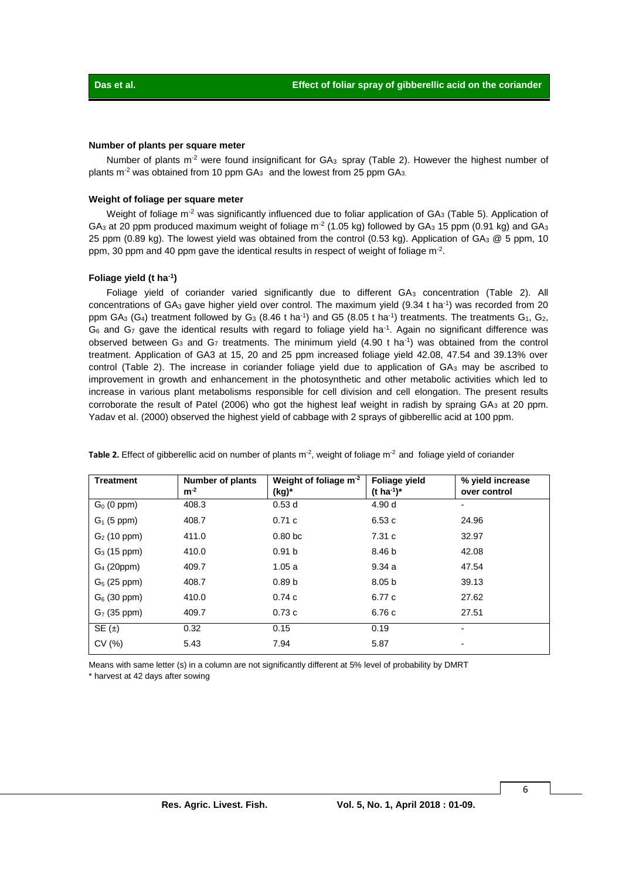#### **Number of plants per square meter**

Number of plants m<sup>-2</sup> were found insignificant for  $GA_3$  spray (Table 2). However the highest number of plants  $m<sup>-2</sup>$  was obtained from 10 ppm  $GA<sub>3</sub>$  and the lowest from 25 ppm  $GA<sub>3</sub>$ .

#### **Weight of foliage per square meter**

Weight of foliage m<sup>-2</sup> was significantly influenced due to foliar application of GA<sub>3</sub> (Table 5). Application of GA<sub>3</sub> at 20 ppm produced maximum weight of foliage m<sup>-2</sup> (1.05 kg) followed by GA<sub>3</sub> 15 ppm (0.91 kg) and GA<sub>3</sub> 25 ppm (0.89 kg). The lowest yield was obtained from the control (0.53 kg). Application of GA<sub>3</sub> @ 5 ppm, 10 ppm, 30 ppm and 40 ppm gave the identical results in respect of weight of foliage  $m<sup>-2</sup>$ .

#### **Foliage yield (t ha-1 )**

Foliage yield of coriander varied significantly due to different  $GA_3$  concentration (Table 2). All concentrations of  $GA_3$  gave higher yield over control. The maximum yield  $(9.34 \text{ t} \text{ ha}^{-1})$  was recorded from 20 ppm GA<sub>3</sub> (G<sub>4</sub>) treatment followed by G<sub>3</sub> (8.46 t ha<sup>-1</sup>) and G5 (8.05 t ha<sup>-1</sup>) treatments. The treatments G<sub>1</sub>, G<sub>2</sub>,  $G_6$  and  $G_7$  gave the identical results with regard to foliage yield ha<sup>-1</sup>. Again no significant difference was observed between  $G_3$  and  $G_7$  treatments. The minimum yield (4.90 t ha<sup>-1</sup>) was obtained from the control treatment. Application of GA3 at 15, 20 and 25 ppm increased foliage yield 42.08, 47.54 and 39.13% over control (Table 2). The increase in coriander foliage yield due to application of GA<sub>3</sub> may be ascribed to improvement in growth and enhancement in the photosynthetic and other metabolic activities which led to increase in various plant metabolisms responsible for cell division and cell elongation. The present results corroborate the result of Patel (2006) who got the highest leaf weight in radish by spraing GA<sub>3</sub> at 20 ppm. Yadav et al. (2000) observed the highest yield of cabbage with 2 sprays of gibberellic acid at 100 ppm.

| <b>Treatment</b> | Number of plants<br>$m-2$ | Weight of foliage $m2$<br>(kg)* | Foliage yield<br>$(t \, ha^{-1})^*$ | % yield increase<br>over control |
|------------------|---------------------------|---------------------------------|-------------------------------------|----------------------------------|
| $G_0$ (0 ppm)    | 408.3                     | 0.53d                           | 4.90 d                              |                                  |
| $G_1$ (5 ppm)    | 408.7                     | 0.71c                           | 6.53c                               | 24.96                            |
| $G_2$ (10 ppm)   | 411.0                     | 0.80 <sub>bc</sub>              | 7.31c                               | 32.97                            |
| $G_3$ (15 ppm)   | 410.0                     | 0.91 <sub>b</sub>               | 8.46 b                              | 42.08                            |
| $G4$ (20ppm)     | 409.7                     | 1.05a                           | 9.34a                               | 47.54                            |
| $G_5$ (25 ppm)   | 408.7                     | 0.89 <sub>b</sub>               | 8.05 <sub>b</sub>                   | 39.13                            |
| $G_6$ (30 ppm)   | 410.0                     | 0.74c                           | 6.77 c                              | 27.62                            |
| $G7$ (35 ppm)    | 409.7                     | 0.73c                           | 6.76 c                              | 27.51                            |
| SE(1)            | 0.32                      | 0.15                            | 0.19                                |                                  |
| CV (%)           | 5.43                      | 7.94                            | 5.87                                |                                  |

Table 2. Effect of gibberellic acid on number of plants m<sup>-2</sup>, weight of foliage m<sup>-2</sup> and foliage yield of coriander

Means with same letter (s) in a column are not significantly different at 5% level of probability by DMRT \* harvest at 42 days after sowing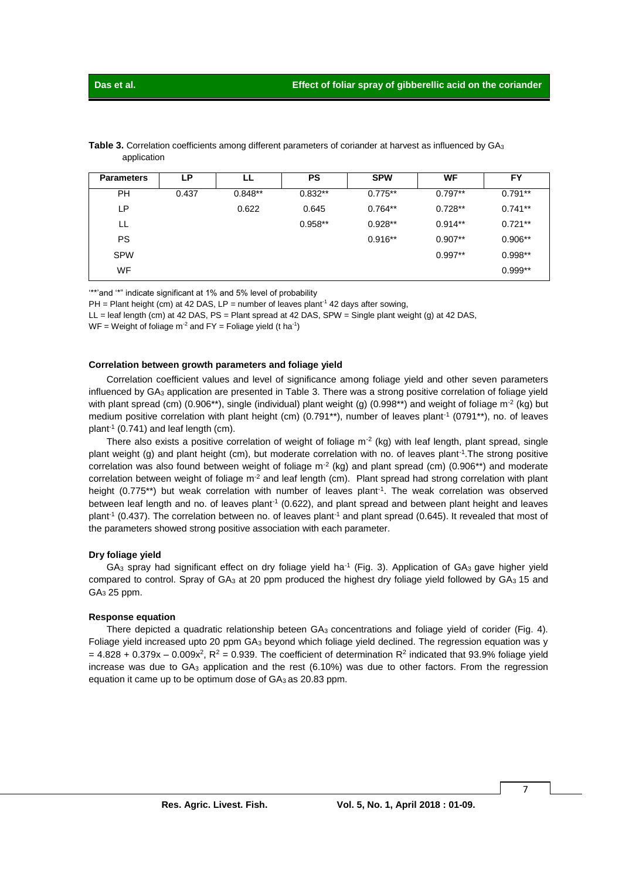| <b>Parameters</b> | LP.   | LL        | PS        | <b>SPW</b> | WF        | FY        |
|-------------------|-------|-----------|-----------|------------|-----------|-----------|
| <b>PH</b>         | 0.437 | $0.848**$ | $0.832**$ | $0.775**$  | $0.797**$ | $0.791**$ |
| LP                |       | 0.622     | 0.645     | $0.764**$  | $0.728**$ | $0.741**$ |
| LL                |       |           | $0.958**$ | $0.928**$  | $0.914**$ | $0.721**$ |
| <b>PS</b>         |       |           |           | $0.916**$  | $0.907**$ | $0.906**$ |
| <b>SPW</b>        |       |           |           |            | $0.997**$ | $0.998**$ |
| <b>WF</b>         |       |           |           |            |           | $0.999**$ |

**Table 3.** Correlation coefficients among different parameters of coriander at harvest as influenced by GA<sub>3</sub> application

'\*\*'and '\*" indicate significant at 1% and 5% level of probability

PH = Plant height (cm) at 42 DAS, LP = number of leaves plant<sup>-1</sup> 42 days after sowing,

LL = leaf length (cm) at 42 DAS, PS = Plant spread at 42 DAS, SPW = Single plant weight (g) at 42 DAS,

 $WF = Weight$  of foliage m<sup>-2</sup> and  $FY = Foliage$  yield (t ha<sup>-1</sup>)

#### **Correlation between growth parameters and foliage yield**

Correlation coefficient values and level of significance among foliage yield and other seven parameters influenced by GA<sup>3</sup> application are presented in Table 3. There was a strong positive correlation of foliage yield with plant spread (cm) (0.906\*\*), single (individual) plant weight (g) (0.998\*\*) and weight of foliage m<sup>-2</sup> (kg) but medium positive correlation with plant height (cm) (0.791\*\*), number of leaves plant<sup>-1</sup> (0791\*\*), no. of leaves plant-1 (0.741) and leaf length (cm).

There also exists a positive correlation of weight of foliage  $m^2$  (kg) with leaf length, plant spread, single plant weight (g) and plant height (cm), but moderate correlation with no. of leaves plant<sup>-1</sup>. The strong positive correlation was also found between weight of foliage  $m^2$  (kg) and plant spread (cm) (0.906\*\*) and moderate correlation between weight of foliage  $m^2$  and leaf length (cm). Plant spread had strong correlation with plant height (0.775\*\*) but weak correlation with number of leaves plant<sup>-1</sup>. The weak correlation was observed between leaf length and no. of leaves plant<sup>-1</sup> (0.622), and plant spread and between plant height and leaves plant<sup>-1</sup> (0.437). The correlation between no. of leaves plant<sup>-1</sup> and plant spread (0.645). It revealed that most of the parameters showed strong positive association with each parameter.

#### **Dry foliage yield**

 $GA_3$  spray had significant effect on dry foliage yield ha<sup>-1</sup> (Fig. 3). Application of  $GA_3$  gave higher yield compared to control. Spray of GA<sub>3</sub> at 20 ppm produced the highest dry foliage yield followed by GA<sub>3</sub> 15 and GA<sup>3</sup> 25 ppm.

#### **Response equation**

There depicted a quadratic relationship beteen GA<sub>3</sub> concentrations and foliage yield of corider (Fig. 4). Foliage yield increased upto 20 ppm GA<sup>3</sup> beyond which foliage yield declined. The regression equation was y  $= 4.828 + 0.379x - 0.009x^2$ , R<sup>2</sup> = 0.939. The coefficient of determination R<sup>2</sup> indicated that 93.9% foliage yield increase was due to  $GA_3$  application and the rest  $(6.10%)$  was due to other factors. From the regression equation it came up to be optimum dose of GA3 as 20.83 ppm.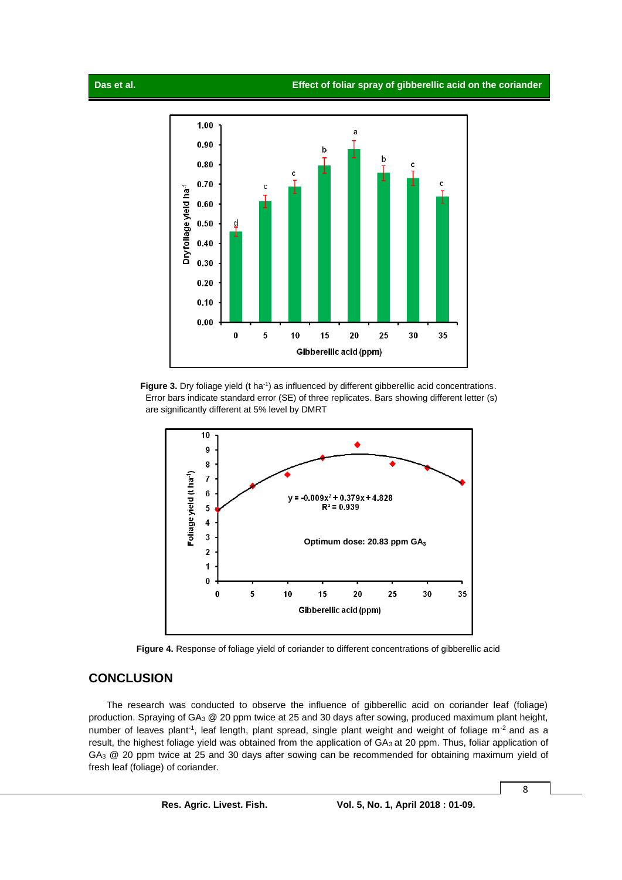

Figure 3. Dry foliage yield (t ha<sup>-1</sup>) as influenced by different gibberellic acid concentrations. Error bars indicate standard error (SE) of three replicates. Bars showing different letter (s) are significantly different at 5% level by DMRT



**Figure 4.** Response of foliage yield of coriander to different concentrations of gibberellic acid

### **CONCLUSION**

The research was conducted to observe the influence of gibberellic acid on coriander leaf (foliage) production. Spraying of GA<sup>3</sup> @ 20 ppm twice at 25 and 30 days after sowing, produced maximum plant height, number of leaves plant<sup>-1</sup>, leaf length, plant spread, single plant weight and weight of foliage m<sup>-2</sup> and as a result, the highest foliage yield was obtained from the application of GA3 at 20 ppm. Thus, foliar application of GA<sub>3</sub> @ 20 ppm twice at 25 and 30 days after sowing can be recommended for obtaining maximum yield of fresh leaf (foliage) of coriander.